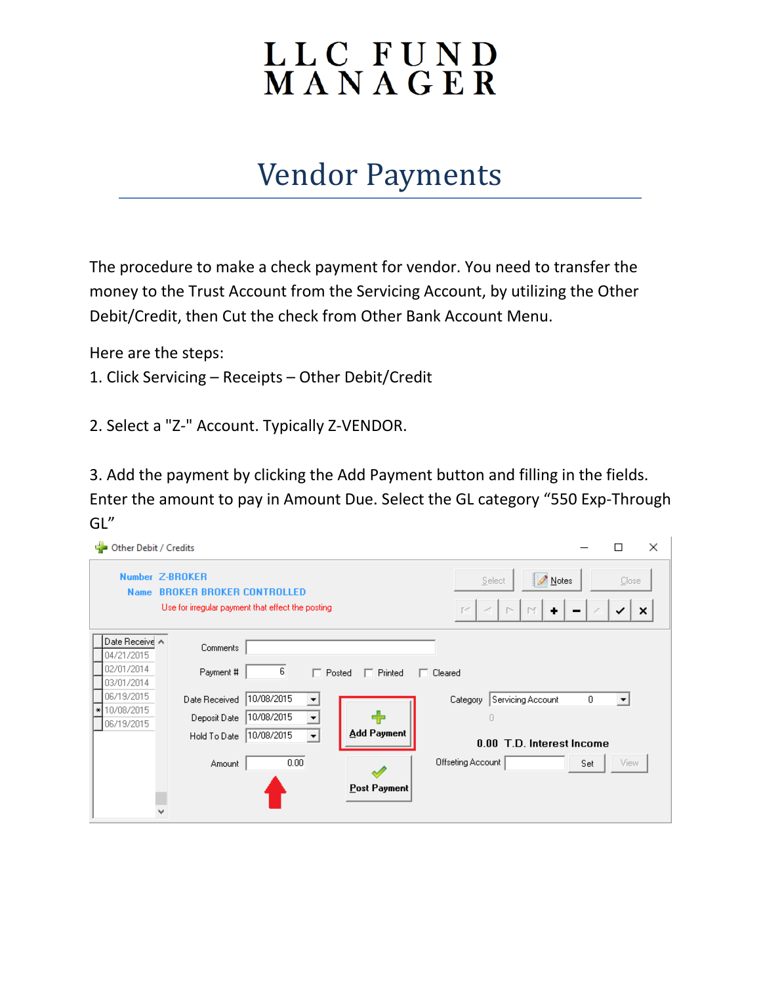## LLC FUND<br>MANAGER

## Vendor Payments

The procedure to make a check payment for vendor. You need to transfer the money to the Trust Account from the Servicing Account, by utilizing the Other Debit/Credit, then Cut the check from Other Bank Account Menu.

Here are the steps:

1. Click Servicing – Receipts – Other Debit/Credit

2. Select a "Z-" Account. Typically Z-VENDOR.

3. Add the payment by clicking the Add Payment button and filling in the fields. Enter the amount to pay in Amount Due. Select the GL category "550 Exp-Through GL"

| Other Debit / Credits<br>÷                                                                                             |                                                                     |                                   |                                                     |                           | × |
|------------------------------------------------------------------------------------------------------------------------|---------------------------------------------------------------------|-----------------------------------|-----------------------------------------------------|---------------------------|---|
| Number Z-BROKER<br><b>BROKER BROKER CONTROLLED</b><br><b>Name</b><br>Use for irregular payment that effect the posting |                                                                     | DC.                               | Notes<br>Select<br>N<br>٠                           | Close                     | × |
| Date Receive A<br>Comments<br>04/21/2015<br>02/01/2014<br>Payment #<br>03/01/2014                                      | 6<br>$\Box$ Posted                                                  | Printed<br>$\Box$ Cleared         |                                                     |                           |   |
| 06/19/2015<br>Date Received<br>* 10/08/2015<br>Deposit Date<br>06/19/2015<br>Hold To Date                              | 10/08/2015<br>▼<br>10/08/2015<br>10/08/2015<br>$\blacktriangledown$ | Category<br><b>Add Payment</b>    | Servicing Account<br>0<br>0.00 T.D. Interest Income | 0<br>$\blacktriangledown$ |   |
| Amount                                                                                                                 | 0.00                                                                | Offseting Account<br>Post Payment |                                                     | View.<br>Set              |   |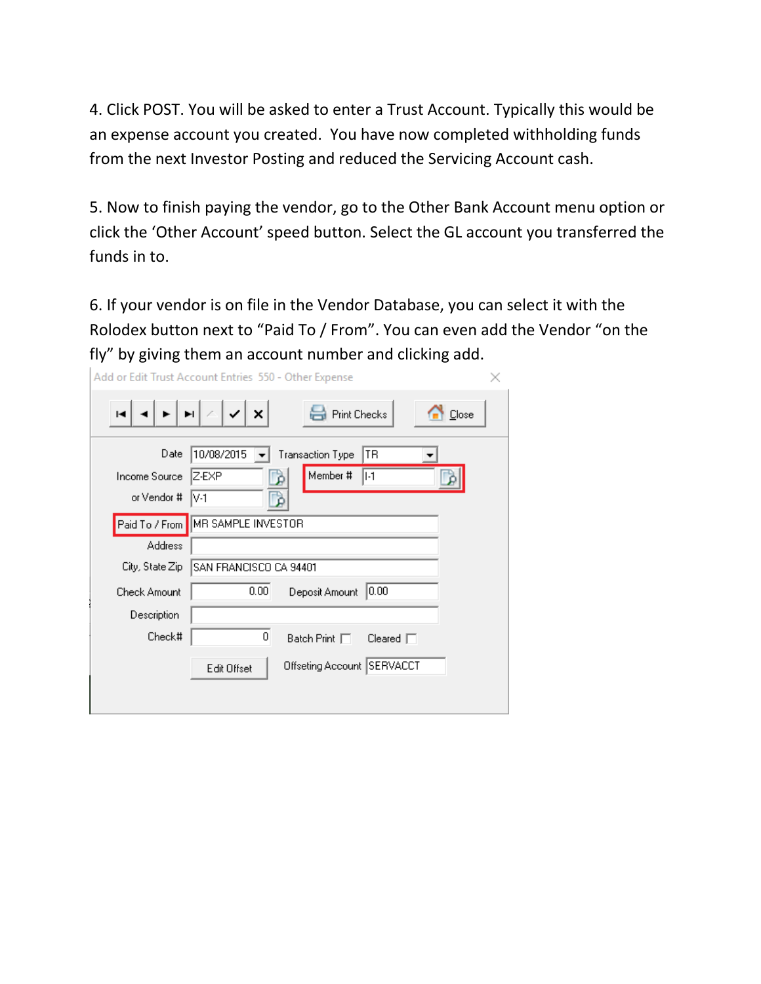4. Click POST. You will be asked to enter a Trust Account. Typically this would be an expense account you created. You have now completed withholding funds from the next Investor Posting and reduced the Servicing Account cash.

5. Now to finish paying the vendor, go to the Other Bank Account menu option or click the 'Other Account' speed button. Select the GL account you transferred the funds in to.

6. If your vendor is on file in the Vendor Database, you can select it with the Rolodex button next to "Paid To / From". You can even add the Vendor "on the fly" by giving them an account number and clicking add.

| Add or Edit Trust Account Entries 550 - Other Expense |                                |                                                  |         |       |
|-------------------------------------------------------|--------------------------------|--------------------------------------------------|---------|-------|
| к                                                     | $\vee$ $\times$<br>ы           | <b>Print Checks</b>                              |         | Close |
| Date<br>Income Source<br>or Vendor #                  | 10/08/2015<br>IZ-EXP<br>IV-1   | Transaction Type<br> TR<br>Member #<br> I-1      |         |       |
| Paid To / From<br>Address                             | MR SAMPLE INVESTOR             |                                                  |         |       |
| City, State Zip<br>Check Amount<br>Description        | SAN FRANCISCO CA 94401<br>0.00 | Deposit Amount                                   | 0.00    |       |
| Check#                                                | 0<br>Edit Offset               | Batch Print $\Box$<br>Offseting Account SERVACCT | Cleared |       |
|                                                       |                                |                                                  |         |       |